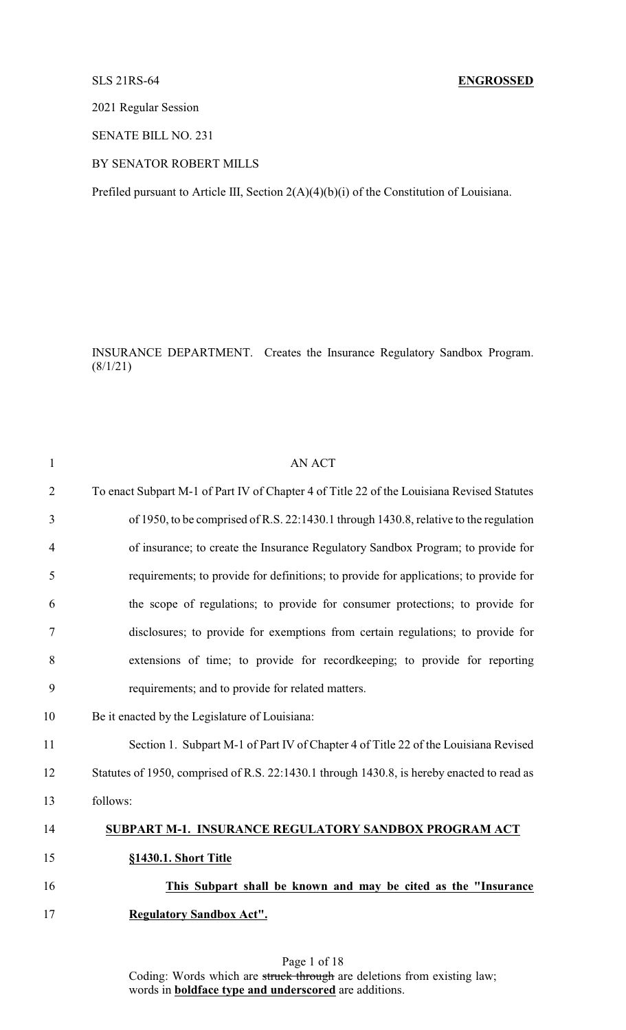## SLS 21RS-64 **ENGROSSED**

2021 Regular Session

SENATE BILL NO. 231

## BY SENATOR ROBERT MILLS

Prefiled pursuant to Article III, Section 2(A)(4)(b)(i) of the Constitution of Louisiana.

INSURANCE DEPARTMENT. Creates the Insurance Regulatory Sandbox Program.  $(8/1/21)$ 

| $\mathbf{1}$   | <b>AN ACT</b>                                                                              |
|----------------|--------------------------------------------------------------------------------------------|
| $\overline{2}$ | To enact Subpart M-1 of Part IV of Chapter 4 of Title 22 of the Louisiana Revised Statutes |
| 3              | of 1950, to be comprised of R.S. 22:1430.1 through 1430.8, relative to the regulation      |
| 4              | of insurance; to create the Insurance Regulatory Sandbox Program; to provide for           |
| 5              | requirements; to provide for definitions; to provide for applications; to provide for      |
| 6              | the scope of regulations; to provide for consumer protections; to provide for              |
| 7              | disclosures; to provide for exemptions from certain regulations; to provide for            |
| 8              | extensions of time; to provide for record keeping; to provide for reporting                |
| 9              | requirements; and to provide for related matters.                                          |
| 10             | Be it enacted by the Legislature of Louisiana:                                             |
| 11             | Section 1. Subpart M-1 of Part IV of Chapter 4 of Title 22 of the Louisiana Revised        |
| 12             | Statutes of 1950, comprised of R.S. 22:1430.1 through 1430.8, is hereby enacted to read as |
| 13             | follows:                                                                                   |
| 14             | SUBPART M-1. INSURANCE REGULATORY SANDBOX PROGRAM ACT                                      |
| 15             | §1430.1. Short Title                                                                       |
| 16             | This Subpart shall be known and may be cited as the "Insurance"                            |
| 17             | <b>Regulatory Sandbox Act".</b>                                                            |
|                |                                                                                            |

Page 1 of 18 Coding: Words which are struck through are deletions from existing law; words in **boldface type and underscored** are additions.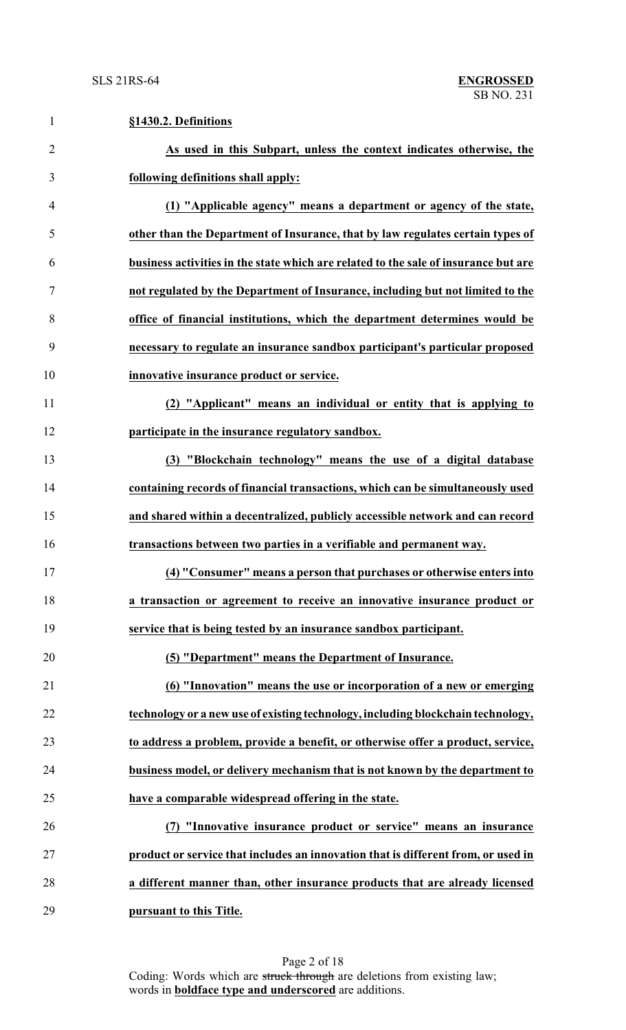| $\mathbf{1}$   | §1430.2. Definitions                                                                |
|----------------|-------------------------------------------------------------------------------------|
| $\overline{2}$ | As used in this Subpart, unless the context indicates otherwise, the                |
| 3              | following definitions shall apply:                                                  |
| $\overline{4}$ | (1) "Applicable agency" means a department or agency of the state,                  |
| 5              | other than the Department of Insurance, that by law regulates certain types of      |
| 6              | business activities in the state which are related to the sale of insurance but are |
| 7              | not regulated by the Department of Insurance, including but not limited to the      |
| 8              | office of financial institutions, which the department determines would be          |
| 9              | necessary to regulate an insurance sandbox participant's particular proposed        |
| 10             | innovative insurance product or service.                                            |
| 11             | (2) "Applicant" means an individual or entity that is applying to                   |
| 12             | participate in the insurance regulatory sandbox.                                    |
| 13             | (3) "Blockchain technology" means the use of a digital database                     |
| 14             | containing records of financial transactions, which can be simultaneously used      |
| 15             | and shared within a decentralized, publicly accessible network and can record       |
| 16             | transactions between two parties in a verifiable and permanent way.                 |
| 17             | (4) "Consumer" means a person that purchases or otherwise enters into               |
| 18             | a transaction or agreement to receive an innovative insurance product or            |
| 19             | service that is being tested by an insurance sandbox participant.                   |
| 20             | (5) "Department" means the Department of Insurance.                                 |
| 21             | (6) "Innovation" means the use or incorporation of a new or emerging                |
| 22             | technology or a new use of existing technology, including blockchain technology,    |
| 23             | to address a problem, provide a benefit, or otherwise offer a product, service,     |
| 24             | business model, or delivery mechanism that is not known by the department to        |
| 25             | have a comparable widespread offering in the state.                                 |
| 26             | (7) "Innovative insurance product or service" means an insurance                    |
| 27             | product or service that includes an innovation that is different from, or used in   |
| 28             | a different manner than, other insurance products that are already licensed         |
| 29             | pursuant to this Title.                                                             |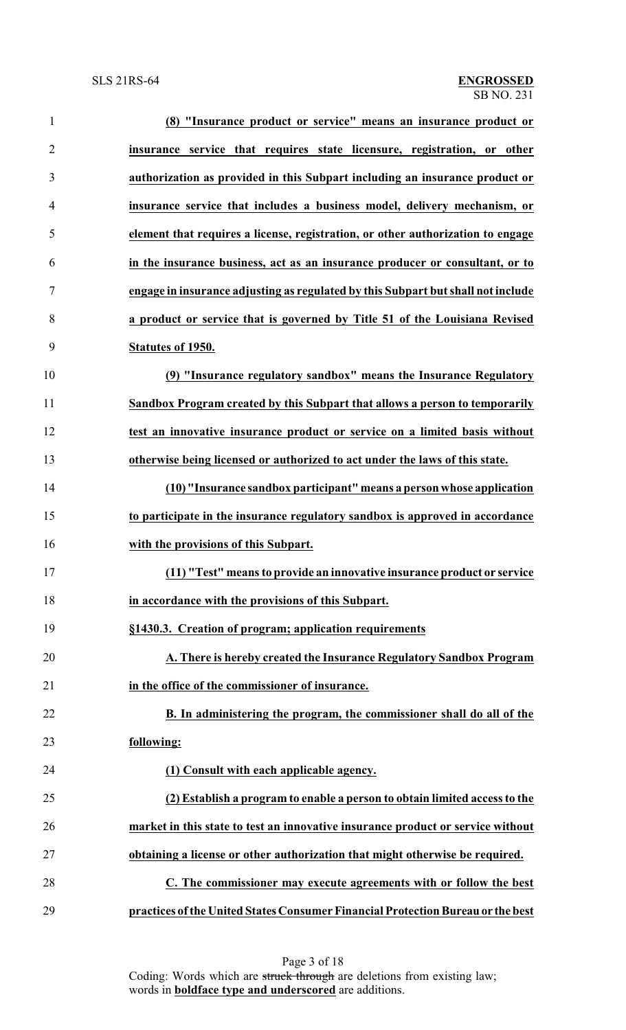| $\mathbf{1}$   | (8) "Insurance product or service" means an insurance product or                 |
|----------------|----------------------------------------------------------------------------------|
| $\overline{2}$ | insurance service that requires state licensure, registration, or other          |
| 3              | authorization as provided in this Subpart including an insurance product or      |
| $\overline{4}$ | insurance service that includes a business model, delivery mechanism, or         |
| 5              | element that requires a license, registration, or other authorization to engage  |
| 6              | in the insurance business, act as an insurance producer or consultant, or to     |
| $\tau$         | engage in insurance adjusting as regulated by this Subpart but shall not include |
| 8              | a product or service that is governed by Title 51 of the Louisiana Revised       |
| 9              | Statutes of 1950.                                                                |
| 10             | (9) "Insurance regulatory sandbox" means the Insurance Regulatory                |
| 11             | Sandbox Program created by this Subpart that allows a person to temporarily      |
| 12             | test an innovative insurance product or service on a limited basis without       |
| 13             | otherwise being licensed or authorized to act under the laws of this state.      |
| 14             | (10) "Insurance sandbox participant" means a person whose application            |
| 15             | to participate in the insurance regulatory sandbox is approved in accordance     |
| 16             | with the provisions of this Subpart.                                             |
| 17             | (11) "Test" means to provide an innovative insurance product or service          |
| 18             | in accordance with the provisions of this Subpart.                               |
| 19             | §1430.3. Creation of program; application requirements                           |
| 20             | A. There is hereby created the Insurance Regulatory Sandbox Program              |
| 21             | in the office of the commissioner of insurance.                                  |
| 22             | B. In administering the program, the commissioner shall do all of the            |
| 23             | following:                                                                       |
| 24             | (1) Consult with each applicable agency.                                         |
| 25             | (2) Establish a program to enable a person to obtain limited access to the       |
| 26             | market in this state to test an innovative insurance product or service without  |
| 27             | obtaining a license or other authorization that might otherwise be required.     |
| 28             | C. The commissioner may execute agreements with or follow the best               |
| 29             | practices of the United States Consumer Financial Protection Bureau or the best  |

Page 3 of 18 Coding: Words which are struck through are deletions from existing law; words in **boldface type and underscored** are additions.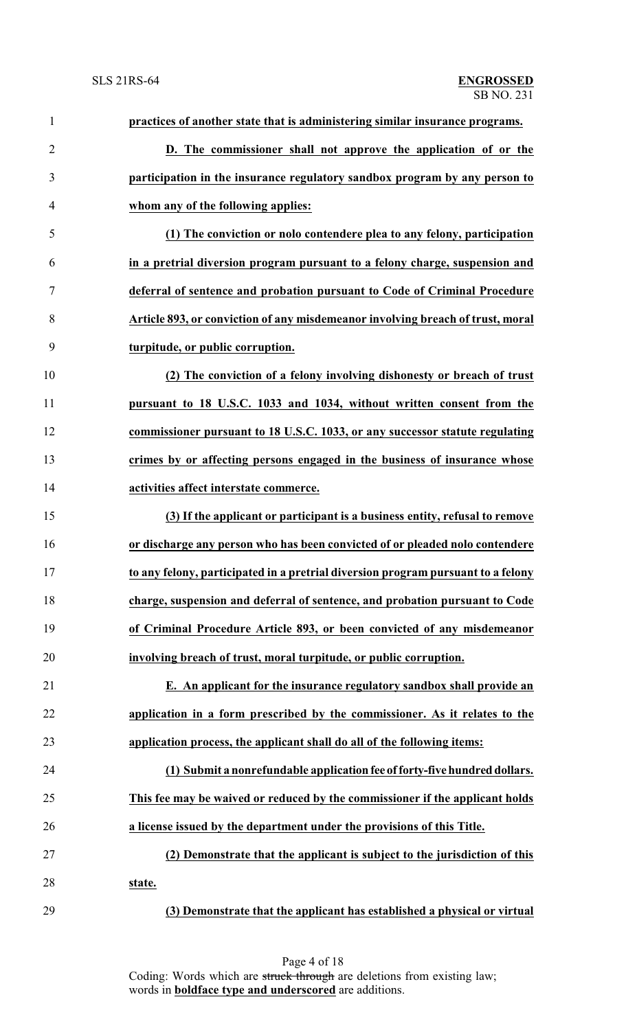| $\mathbf{1}$   | practices of another state that is administering similar insurance programs.     |
|----------------|----------------------------------------------------------------------------------|
| $\overline{2}$ | D. The commissioner shall not approve the application of or the                  |
| 3              | participation in the insurance regulatory sandbox program by any person to       |
| $\overline{4}$ | whom any of the following applies:                                               |
| 5              | (1) The conviction or nolo contendere plea to any felony, participation          |
| 6              | in a pretrial diversion program pursuant to a felony charge, suspension and      |
| $\tau$         | deferral of sentence and probation pursuant to Code of Criminal Procedure        |
| 8              | Article 893, or conviction of any misdemeanor involving breach of trust, moral   |
| 9              | turpitude, or public corruption.                                                 |
| 10             | (2) The conviction of a felony involving dishonesty or breach of trust           |
| 11             | pursuant to 18 U.S.C. 1033 and 1034, without written consent from the            |
| 12             | commissioner pursuant to 18 U.S.C. 1033, or any successor statute regulating     |
| 13             | crimes by or affecting persons engaged in the business of insurance whose        |
| 14             | activities affect interstate commerce.                                           |
| 15             | (3) If the applicant or participant is a business entity, refusal to remove      |
| 16             | or discharge any person who has been convicted of or pleaded nolo contendere     |
| 17             | to any felony, participated in a pretrial diversion program pursuant to a felony |
| 18             | charge, suspension and deferral of sentence, and probation pursuant to Code      |
| 19             | of Criminal Procedure Article 893, or been convicted of any misdemeanor          |
| 20             | involving breach of trust, moral turpitude, or public corruption.                |
| 21             | E. An applicant for the insurance regulatory sandbox shall provide an            |
| 22             | application in a form prescribed by the commissioner. As it relates to the       |
| 23             | application process, the applicant shall do all of the following items:          |
| 24             | (1) Submit a nonrefundable application fee of forty-five hundred dollars.        |
| 25             | This fee may be waived or reduced by the commissioner if the applicant holds     |
| 26             | a license issued by the department under the provisions of this Title.           |
| 27             | (2) Demonstrate that the applicant is subject to the jurisdiction of this        |
| 28             | state.                                                                           |
| 29             | (3) Demonstrate that the applicant has established a physical or virtual         |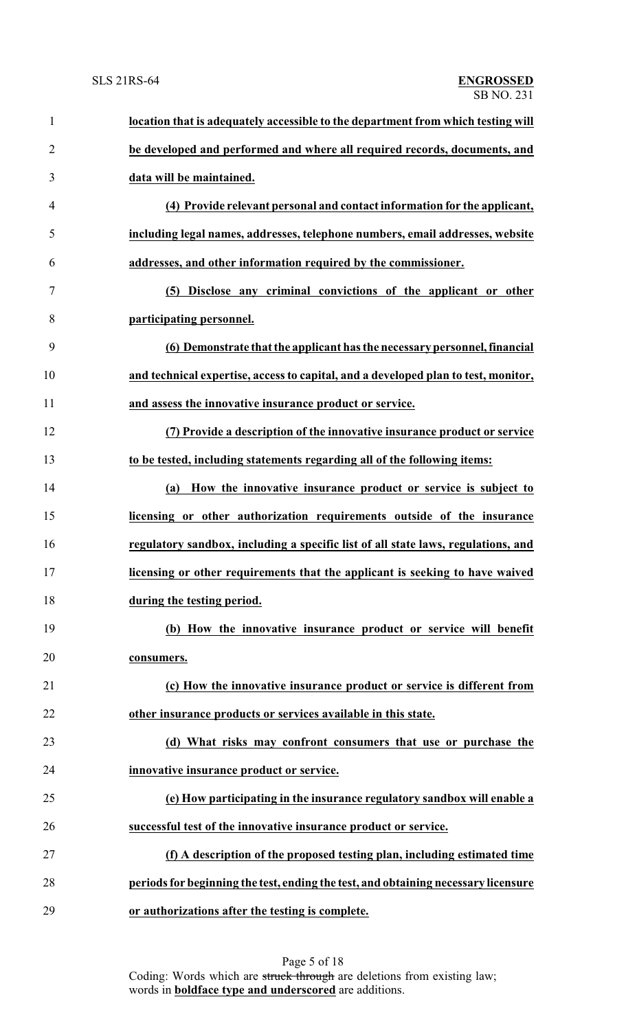| $\mathbf{1}$   | location that is adequately accessible to the department from which testing will   |
|----------------|------------------------------------------------------------------------------------|
| $\overline{2}$ | be developed and performed and where all required records, documents, and          |
| 3              | data will be maintained.                                                           |
| 4              | (4) Provide relevant personal and contact information for the applicant,           |
| 5              | including legal names, addresses, telephone numbers, email addresses, website      |
| 6              | addresses, and other information required by the commissioner.                     |
| 7              | (5) Disclose any criminal convictions of the applicant or other                    |
| 8              | participating personnel.                                                           |
| 9              | (6) Demonstrate that the applicant has the necessary personnel, financial          |
| 10             | and technical expertise, access to capital, and a developed plan to test, monitor, |
| 11             | and assess the innovative insurance product or service.                            |
| 12             | (7) Provide a description of the innovative insurance product or service           |
| 13             | to be tested, including statements regarding all of the following items:           |
| 14             | How the innovative insurance product or service is subject to<br>(a)               |
| 15             | licensing or other authorization requirements outside of the insurance             |
| 16             | regulatory sandbox, including a specific list of all state laws, regulations, and  |
| 17             | licensing or other requirements that the applicant is seeking to have waived       |
| 18             | during the testing period.                                                         |
| 19             | (b) How the innovative insurance product or service will benefit                   |
| 20             | consumers.                                                                         |
| 21             | (c) How the innovative insurance product or service is different from              |
| 22             | other insurance products or services available in this state.                      |
| 23             | (d) What risks may confront consumers that use or purchase the                     |
| 24             | innovative insurance product or service.                                           |
| 25             | (e) How participating in the insurance regulatory sandbox will enable a            |
| 26             | successful test of the innovative insurance product or service.                    |
| 27             | (f) A description of the proposed testing plan, including estimated time           |
| 28             | periods for beginning the test, ending the test, and obtaining necessary licensure |
| 29             | or authorizations after the testing is complete.                                   |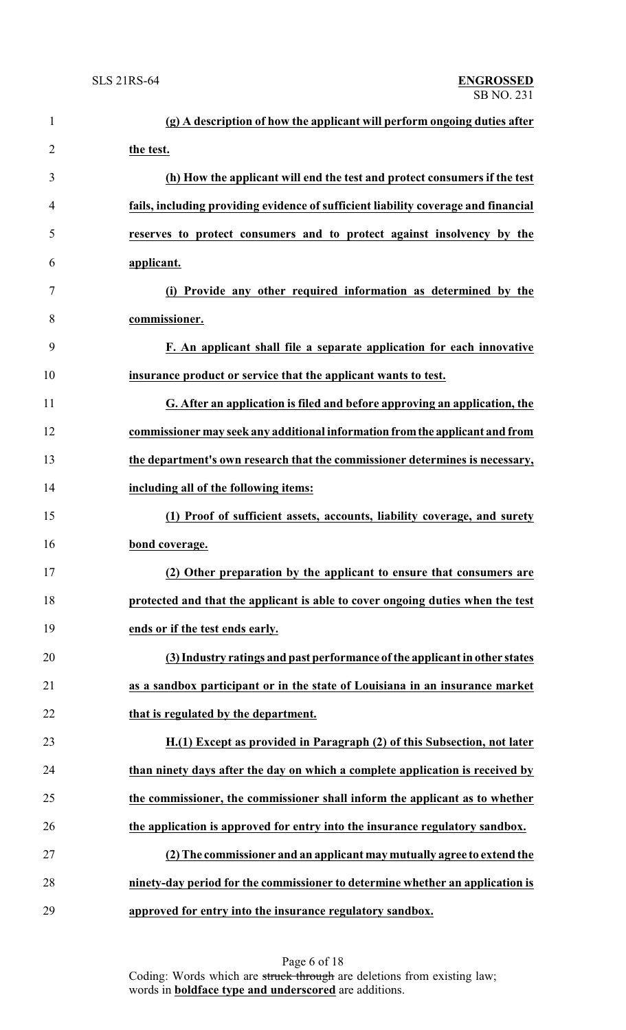| $\mathbf{1}$   | (g) A description of how the applicant will perform ongoing duties after           |
|----------------|------------------------------------------------------------------------------------|
| $\overline{2}$ | the test.                                                                          |
| 3              | (h) How the applicant will end the test and protect consumers if the test          |
| $\overline{4}$ | fails, including providing evidence of sufficient liability coverage and financial |
| 5              | reserves to protect consumers and to protect against insolvency by the             |
| 6              | applicant.                                                                         |
| 7              | (i) Provide any other required information as determined by the                    |
| 8              | commissioner.                                                                      |
| 9              | F. An applicant shall file a separate application for each innovative              |
| 10             | insurance product or service that the applicant wants to test.                     |
| 11             | G. After an application is filed and before approving an application, the          |
| 12             | commissioner may seek any additional information from the applicant and from       |
| 13             | the department's own research that the commissioner determines is necessary,       |
| 14             | including all of the following items:                                              |
| 15             | (1) Proof of sufficient assets, accounts, liability coverage, and surety           |
| 16             | bond coverage.                                                                     |
| 17             | (2) Other preparation by the applicant to ensure that consumers are                |
| 18             | protected and that the applicant is able to cover ongoing duties when the test     |
| 19             | ends or if the test ends early.                                                    |
| 20             | (3) Industry ratings and past performance of the applicant in other states         |
| 21             | as a sandbox participant or in the state of Louisiana in an insurance market       |
| 22             | that is regulated by the department.                                               |
| 23             | H.(1) Except as provided in Paragraph (2) of this Subsection, not later            |
| 24             | than ninety days after the day on which a complete application is received by      |
| 25             | the commissioner, the commissioner shall inform the applicant as to whether        |
| 26             | the application is approved for entry into the insurance regulatory sandbox.       |
| 27             | (2) The commissioner and an applicant may mutually agree to extend the             |
| 28             | ninety-day period for the commissioner to determine whether an application is      |
| 29             | approved for entry into the insurance regulatory sandbox.                          |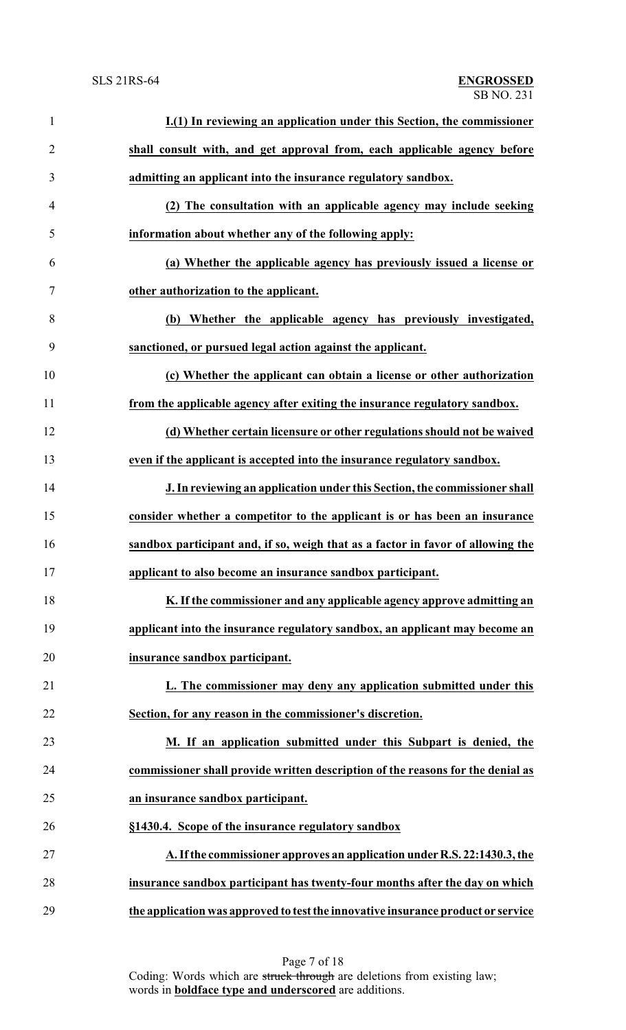| $\mathbf{1}$   | I.(1) In reviewing an application under this Section, the commissioner           |
|----------------|----------------------------------------------------------------------------------|
| $\overline{2}$ | shall consult with, and get approval from, each applicable agency before         |
| 3              | admitting an applicant into the insurance regulatory sandbox.                    |
| 4              | (2) The consultation with an applicable agency may include seeking               |
| 5              | information about whether any of the following apply:                            |
| 6              | (a) Whether the applicable agency has previously issued a license or             |
| 7              | other authorization to the applicant.                                            |
| 8              | (b) Whether the applicable agency has previously investigated,                   |
| 9              | sanctioned, or pursued legal action against the applicant.                       |
| 10             | (c) Whether the applicant can obtain a license or other authorization            |
| 11             | from the applicable agency after exiting the insurance regulatory sandbox.       |
| 12             | (d) Whether certain licensure or other regulations should not be waived          |
| 13             | even if the applicant is accepted into the insurance regulatory sandbox.         |
| 14             | J. In reviewing an application under this Section, the commissioner shall        |
| 15             | consider whether a competitor to the applicant is or has been an insurance       |
| 16             | sandbox participant and, if so, weigh that as a factor in favor of allowing the  |
| 17             | applicant to also become an insurance sandbox participant.                       |
| 18             | K. If the commissioner and any applicable agency approve admitting an            |
| 19             | applicant into the insurance regulatory sandbox, an applicant may become an      |
| 20             | insurance sandbox participant.                                                   |
| 21             | L. The commissioner may deny any application submitted under this                |
| 22             | Section, for any reason in the commissioner's discretion.                        |
| 23             | M. If an application submitted under this Subpart is denied, the                 |
| 24             | commissioner shall provide written description of the reasons for the denial as  |
| 25             | an insurance sandbox participant.                                                |
| 26             | §1430.4. Scope of the insurance regulatory sandbox                               |
| 27             | A. If the commissioner approves an application under R.S. 22:1430.3, the         |
| 28             | insurance sandbox participant has twenty-four months after the day on which      |
| 29             | the application was approved to test the innovative insurance product or service |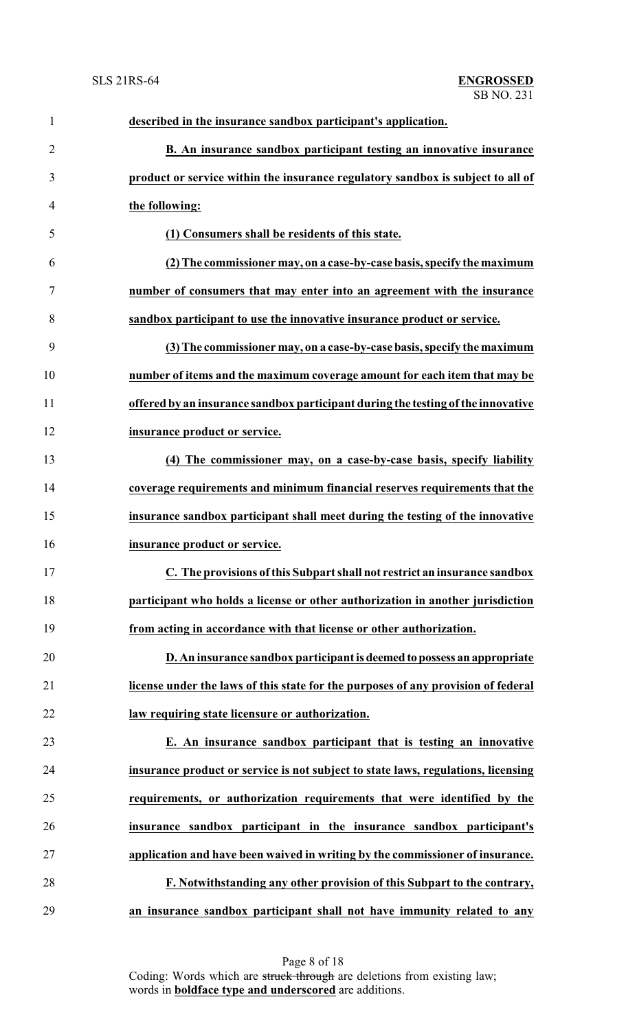| $\mathbf{1}$   | described in the insurance sandbox participant's application.                     |
|----------------|-----------------------------------------------------------------------------------|
| $\overline{2}$ | B. An insurance sandbox participant testing an innovative insurance               |
| 3              | product or service within the insurance regulatory sandbox is subject to all of   |
| 4              | the following:                                                                    |
| 5              | (1) Consumers shall be residents of this state.                                   |
| 6              | (2) The commissioner may, on a case-by-case basis, specify the maximum            |
| 7              | number of consumers that may enter into an agreement with the insurance           |
| 8              | sandbox participant to use the innovative insurance product or service.           |
| 9              | (3) The commissioner may, on a case-by-case basis, specify the maximum            |
| 10             | number of items and the maximum coverage amount for each item that may be         |
| 11             | offered by an insurance sandbox participant during the testing of the innovative  |
| 12             | insurance product or service.                                                     |
| 13             | (4) The commissioner may, on a case-by-case basis, specify liability              |
| 14             | coverage requirements and minimum financial reserves requirements that the        |
| 15             | insurance sandbox participant shall meet during the testing of the innovative     |
| 16             | insurance product or service.                                                     |
| 17             | C. The provisions of this Subpart shall not restrict an insurance sandbox         |
| 18             | participant who holds a license or other authorization in another jurisdiction    |
| 19             | from acting in accordance with that license or other authorization.               |
| 20             | D. An insurance sandbox participant is deemed to possess an appropriate           |
| 21             | license under the laws of this state for the purposes of any provision of federal |
| 22             | law requiring state licensure or authorization.                                   |
| 23             | E. An insurance sandbox participant that is testing an innovative                 |
| 24             | insurance product or service is not subject to state laws, regulations, licensing |
| 25             | requirements, or authorization requirements that were identified by the           |
| 26             | insurance sandbox participant in the insurance sandbox participant's              |
| 27             | application and have been waived in writing by the commissioner of insurance.     |
| 28             | F. Notwithstanding any other provision of this Subpart to the contrary,           |
| 29             | an insurance sandbox participant shall not have immunity related to any           |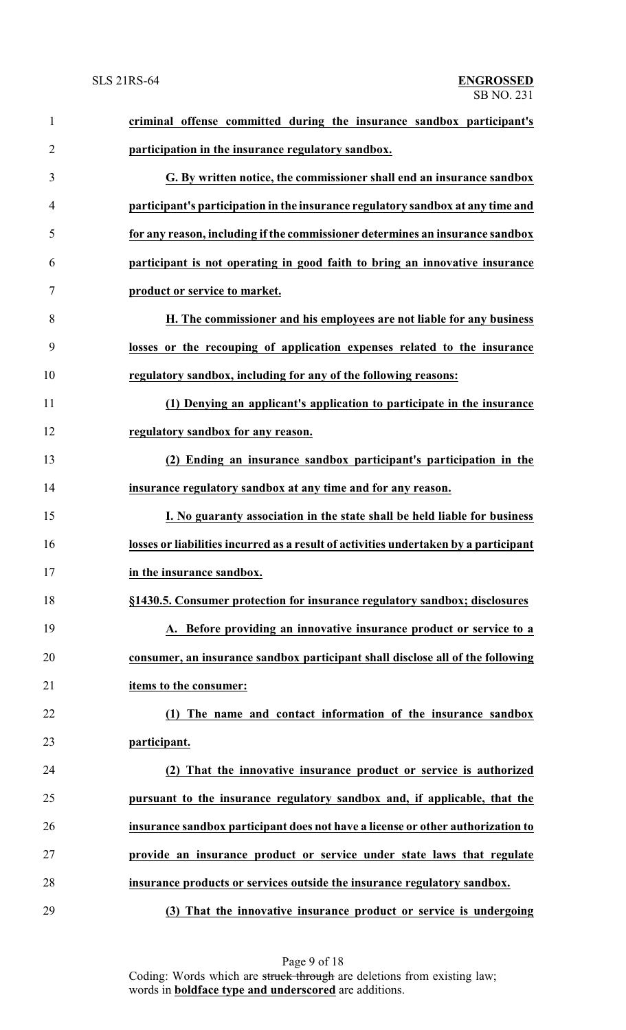| $\mathbf{1}$   | criminal offense committed during the insurance sandbox participant's                |
|----------------|--------------------------------------------------------------------------------------|
| $\overline{2}$ | participation in the insurance regulatory sandbox.                                   |
| 3              | G. By written notice, the commissioner shall end an insurance sandbox                |
| $\overline{4}$ | participant's participation in the insurance regulatory sandbox at any time and      |
| 5              | for any reason, including if the commissioner determines an insurance sandbox        |
| 6              | participant is not operating in good faith to bring an innovative insurance          |
| $\tau$         | product or service to market.                                                        |
| 8              | H. The commissioner and his employees are not liable for any business                |
| 9              | losses or the recouping of application expenses related to the insurance             |
| 10             | regulatory sandbox, including for any of the following reasons:                      |
| 11             | (1) Denying an applicant's application to participate in the insurance               |
| 12             | regulatory sandbox for any reason.                                                   |
| 13             | (2) Ending an insurance sandbox participant's participation in the                   |
| 14             | insurance regulatory sandbox at any time and for any reason.                         |
| 15             | I. No guaranty association in the state shall be held liable for business            |
| 16             | losses or liabilities incurred as a result of activities undertaken by a participant |
| 17             | in the insurance sandbox.                                                            |
| 18             | §1430.5. Consumer protection for insurance regulatory sandbox; disclosures           |
| 19             | A. Before providing an innovative insurance product or service to a                  |
| 20             | consumer, an insurance sandbox participant shall disclose all of the following       |
| 21             | items to the consumer:                                                               |
| 22             | (1) The name and contact information of the insurance sandbox                        |
| 23             | participant.                                                                         |
| 24             | (2) That the innovative insurance product or service is authorized                   |
| 25             | pursuant to the insurance regulatory sandbox and, if applicable, that the            |
| 26             | insurance sandbox participant does not have a license or other authorization to      |
| 27             | provide an insurance product or service under state laws that regulate               |
| 28             | insurance products or services outside the insurance regulatory sandbox.             |
| 29             | (3) That the innovative insurance product or service is undergoing                   |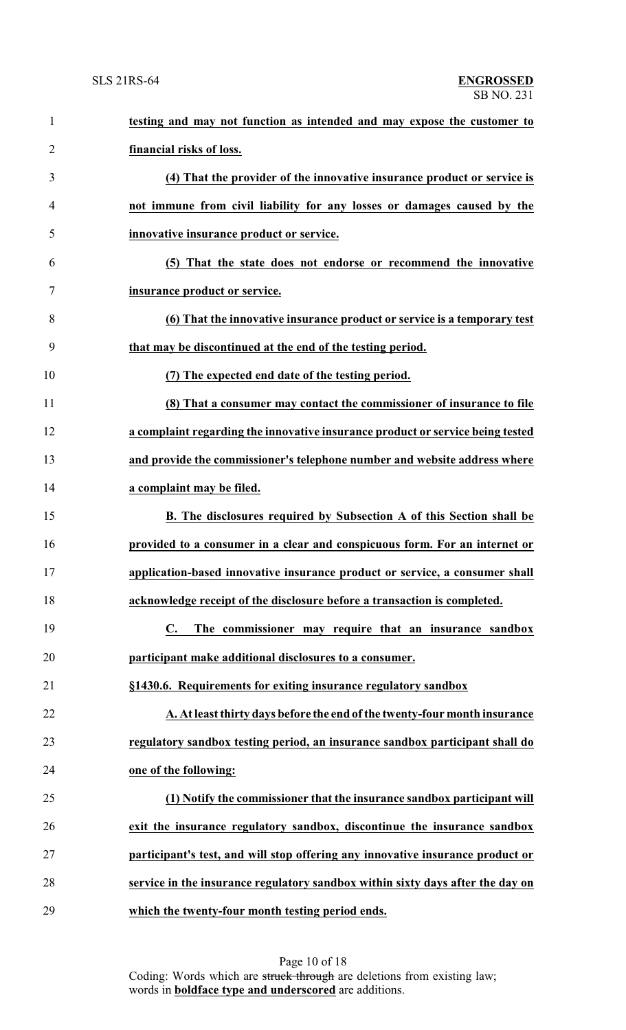| $\mathbf{1}$   | testing and may not function as intended and may expose the customer to        |
|----------------|--------------------------------------------------------------------------------|
| $\overline{2}$ | financial risks of loss.                                                       |
| 3              | (4) That the provider of the innovative insurance product or service is        |
| $\overline{4}$ | not immune from civil liability for any losses or damages caused by the        |
| 5              | innovative insurance product or service.                                       |
| 6              | (5) That the state does not endorse or recommend the innovative                |
| 7              | insurance product or service.                                                  |
| 8              | (6) That the innovative insurance product or service is a temporary test       |
| 9              | that may be discontinued at the end of the testing period.                     |
| 10             | (7) The expected end date of the testing period.                               |
| 11             | (8) That a consumer may contact the commissioner of insurance to file          |
| 12             | a complaint regarding the innovative insurance product or service being tested |
| 13             | and provide the commissioner's telephone number and website address where      |
| 14             | a complaint may be filed.                                                      |
| 15             | B. The disclosures required by Subsection A of this Section shall be           |
| 16             | provided to a consumer in a clear and conspicuous form. For an internet or     |
| 17             | application-based innovative insurance product or service, a consumer shall    |
| 18             | acknowledge receipt of the disclosure before a transaction is completed.       |
| 19             | The commissioner may require that an insurance sandbox<br>$\mathbf{C}$ .       |
| 20             | participant make additional disclosures to a consumer.                         |
| 21             | §1430.6. Requirements for exiting insurance regulatory sandbox                 |
| 22             | A. At least thirty days before the end of the twenty-four month insurance      |
| 23             | regulatory sandbox testing period, an insurance sandbox participant shall do   |
| 24             | one of the following:                                                          |
| 25             | (1) Notify the commissioner that the insurance sandbox participant will        |
| 26             | exit the insurance regulatory sandbox, discontinue the insurance sandbox       |
| 27             | participant's test, and will stop offering any innovative insurance product or |
| 28             | service in the insurance regulatory sandbox within sixty days after the day on |
| 29             | which the twenty-four month testing period ends.                               |

Page 10 of 18 Coding: Words which are struck through are deletions from existing law; words in **boldface type and underscored** are additions.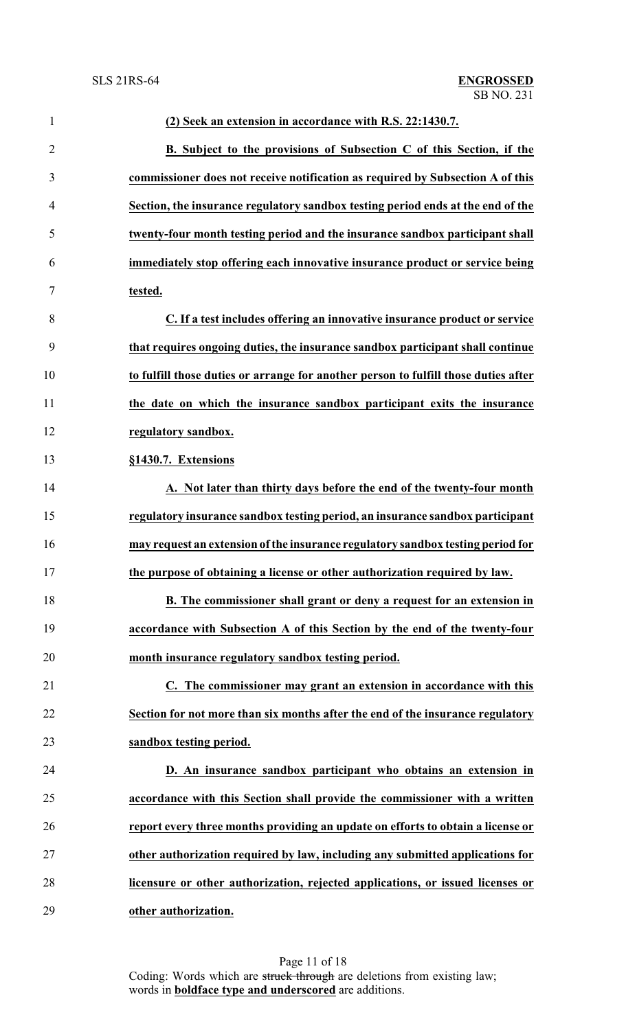| $\mathbf{1}$   | (2) Seek an extension in accordance with R.S. 22:1430.7.                            |
|----------------|-------------------------------------------------------------------------------------|
| $\overline{2}$ | B. Subject to the provisions of Subsection C of this Section, if the                |
| 3              | commissioner does not receive notification as required by Subsection A of this      |
| $\overline{4}$ | Section, the insurance regulatory sandbox testing period ends at the end of the     |
| 5              | twenty-four month testing period and the insurance sandbox participant shall        |
| 6              | immediately stop offering each innovative insurance product or service being        |
| $\tau$         | tested.                                                                             |
| 8              | C. If a test includes offering an innovative insurance product or service           |
| 9              | that requires ongoing duties, the insurance sandbox participant shall continue      |
| 10             | to fulfill those duties or arrange for another person to fulfill those duties after |
| 11             | the date on which the insurance sandbox participant exits the insurance             |
| 12             | regulatory sandbox.                                                                 |
| 13             | §1430.7. Extensions                                                                 |
| 14             | A. Not later than thirty days before the end of the twenty-four month               |
| 15             | regulatory insurance sandbox testing period, an insurance sandbox participant       |
| 16             | may request an extension of the insurance regulatory sandbox testing period for     |
| 17             | the purpose of obtaining a license or other authorization required by law.          |
| 18             | B. The commissioner shall grant or deny a request for an extension in               |
| 19             | accordance with Subsection A of this Section by the end of the twenty-four          |
| 20             | month insurance regulatory sandbox testing period.                                  |
| 21             | C. The commissioner may grant an extension in accordance with this                  |
| 22             | Section for not more than six months after the end of the insurance regulatory      |
| 23             | sandbox testing period.                                                             |
| 24             | D. An insurance sandbox participant who obtains an extension in                     |
| 25             | accordance with this Section shall provide the commissioner with a written          |
| 26             | report every three months providing an update on efforts to obtain a license or     |
| $27\,$         | other authorization required by law, including any submitted applications for       |
| 28             | licensure or other authorization, rejected applications, or issued licenses or      |
| 29             | other authorization.                                                                |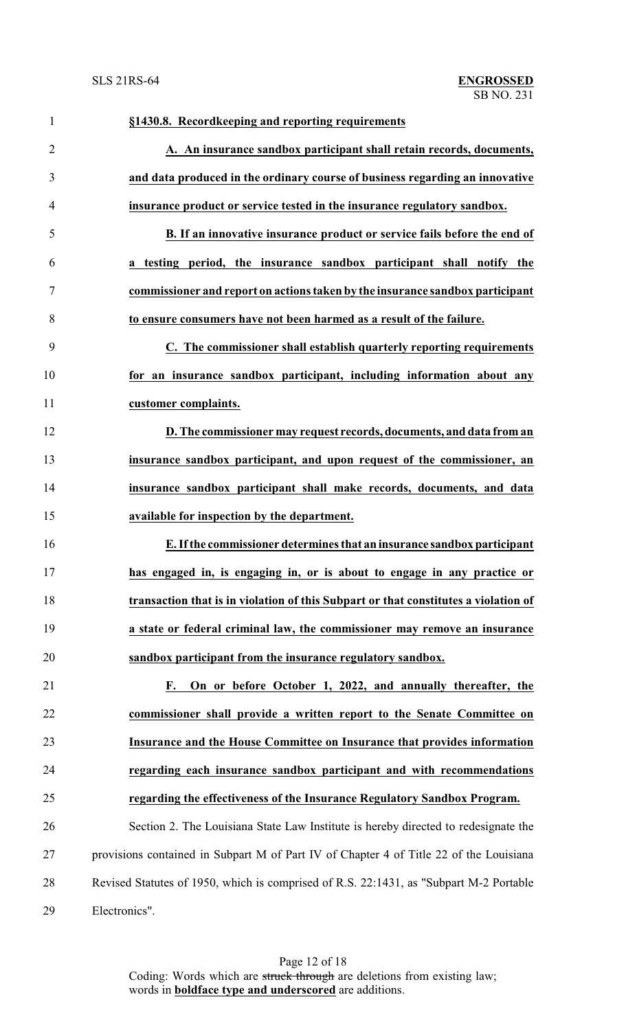| $\mathbf{1}$   | §1430.8. Recordkeeping and reporting requirements                                      |
|----------------|----------------------------------------------------------------------------------------|
| $\overline{2}$ | A. An insurance sandbox participant shall retain records, documents,                   |
| 3              | and data produced in the ordinary course of business regarding an innovative           |
| $\overline{4}$ | insurance product or service tested in the insurance regulatory sandbox.               |
| 5              | B. If an innovative insurance product or service fails before the end of               |
| 6              | a testing period, the insurance sandbox participant shall notify the                   |
| $\tau$         | commissioner and report on actions taken by the insurance sandbox participant          |
| 8              | to ensure consumers have not been harmed as a result of the failure.                   |
| 9              | C. The commissioner shall establish quarterly reporting requirements                   |
| 10             | for an insurance sandbox participant, including information about any                  |
| 11             | customer complaints.                                                                   |
| 12             | D. The commissioner may request records, documents, and data from an                   |
| 13             | insurance sandbox participant, and upon request of the commissioner, an                |
| 14             | insurance sandbox participant shall make records, documents, and data                  |
| 15             | available for inspection by the department.                                            |
| 16             | E. If the commissioner determines that an insurance sandbox participant                |
| 17             | has engaged in, is engaging in, or is about to engage in any practice or               |
| 18             | transaction that is in violation of this Subpart or that constitutes a violation of    |
| 19             | a state or federal criminal law, the commissioner may remove an insurance              |
| 20             | sandbox participant from the insurance regulatory sandbox.                             |
| 21             | On or before October 1, 2022, and annually thereafter, the<br>F.                       |
| 22             | commissioner shall provide a written report to the Senate Committee on                 |
| 23             | <b>Insurance and the House Committee on Insurance that provides information</b>        |
| 24             | regarding each insurance sandbox participant and with recommendations                  |
| 25             | regarding the effectiveness of the Insurance Regulatory Sandbox Program.               |
| 26             | Section 2. The Louisiana State Law Institute is hereby directed to redesignate the     |
| 27             | provisions contained in Subpart M of Part IV of Chapter 4 of Title 22 of the Louisiana |
| 28             | Revised Statutes of 1950, which is comprised of R.S. 22:1431, as "Subpart M-2 Portable |
| 29             | Electronics".                                                                          |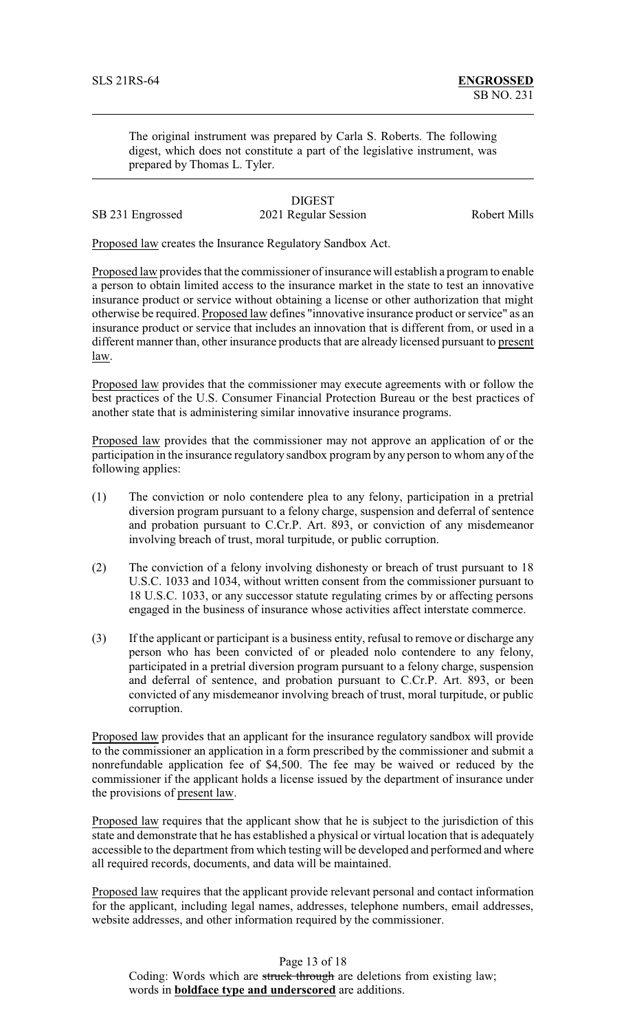The original instrument was prepared by Carla S. Roberts. The following digest, which does not constitute a part of the legislative instrument, was prepared by Thomas L. Tyler.

# **DIGEST**

SB 231 Engrossed 2021 Regular Session Robert Mills

Proposed law creates the Insurance Regulatory Sandbox Act.

Proposed law provides that the commissioner of insurance will establish a program to enable a person to obtain limited access to the insurance market in the state to test an innovative insurance product or service without obtaining a license or other authorization that might otherwise be required. Proposed law defines "innovative insurance product or service" as an insurance product or service that includes an innovation that is different from, or used in a different manner than, other insurance products that are already licensed pursuant to present law.

Proposed law provides that the commissioner may execute agreements with or follow the best practices of the U.S. Consumer Financial Protection Bureau or the best practices of another state that is administering similar innovative insurance programs.

Proposed law provides that the commissioner may not approve an application of or the participation in the insurance regulatory sandbox program by any person to whom any of the following applies:

- (1) The conviction or nolo contendere plea to any felony, participation in a pretrial diversion program pursuant to a felony charge, suspension and deferral of sentence and probation pursuant to C.Cr.P. Art. 893, or conviction of any misdemeanor involving breach of trust, moral turpitude, or public corruption.
- (2) The conviction of a felony involving dishonesty or breach of trust pursuant to 18 U.S.C. 1033 and 1034, without written consent from the commissioner pursuant to 18 U.S.C. 1033, or any successor statute regulating crimes by or affecting persons engaged in the business of insurance whose activities affect interstate commerce.
- (3) If the applicant or participant is a business entity, refusal to remove or discharge any person who has been convicted of or pleaded nolo contendere to any felony, participated in a pretrial diversion program pursuant to a felony charge, suspension and deferral of sentence, and probation pursuant to C.Cr.P. Art. 893, or been convicted of any misdemeanor involving breach of trust, moral turpitude, or public corruption.

Proposed law provides that an applicant for the insurance regulatory sandbox will provide to the commissioner an application in a form prescribed by the commissioner and submit a nonrefundable application fee of \$4,500. The fee may be waived or reduced by the commissioner if the applicant holds a license issued by the department of insurance under the provisions of present law.

Proposed law requires that the applicant show that he is subject to the jurisdiction of this state and demonstrate that he has established a physical or virtual location that is adequately accessible to the department from which testing will be developed and performed and where all required records, documents, and data will be maintained.

Proposed law requires that the applicant provide relevant personal and contact information for the applicant, including legal names, addresses, telephone numbers, email addresses, website addresses, and other information required by the commissioner.

Page 13 of 18 Coding: Words which are struck through are deletions from existing law; words in **boldface type and underscored** are additions.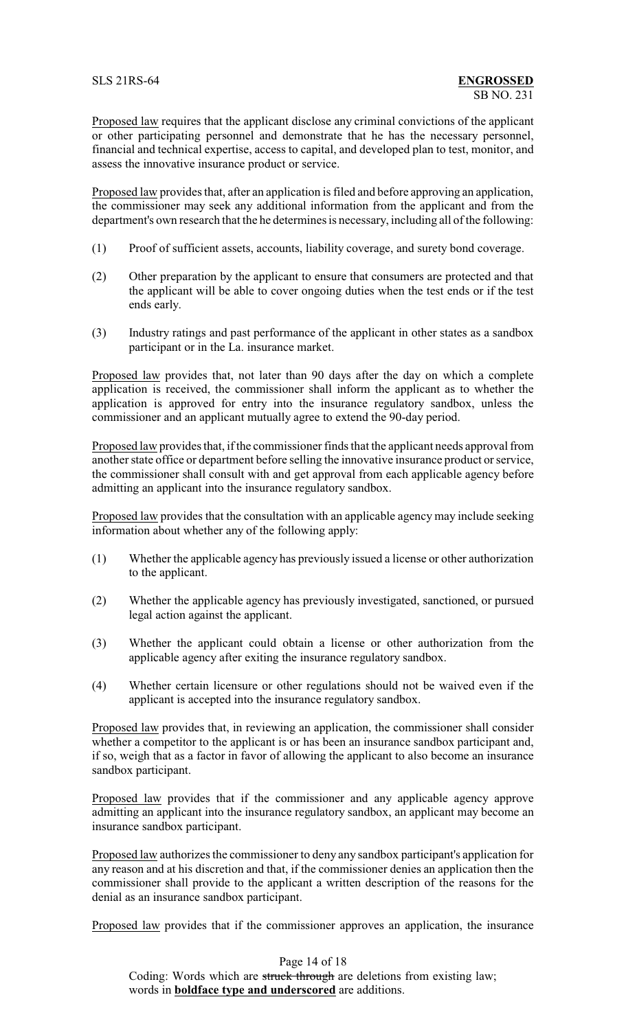Proposed law requires that the applicant disclose any criminal convictions of the applicant or other participating personnel and demonstrate that he has the necessary personnel, financial and technical expertise, access to capital, and developed plan to test, monitor, and assess the innovative insurance product or service.

Proposed law provides that, after an application is filed and before approving an application, the commissioner may seek any additional information from the applicant and from the department's own research that the he determines is necessary, including all of the following:

- (1) Proof of sufficient assets, accounts, liability coverage, and surety bond coverage.
- (2) Other preparation by the applicant to ensure that consumers are protected and that the applicant will be able to cover ongoing duties when the test ends or if the test ends early.
- (3) Industry ratings and past performance of the applicant in other states as a sandbox participant or in the La. insurance market.

Proposed law provides that, not later than 90 days after the day on which a complete application is received, the commissioner shall inform the applicant as to whether the application is approved for entry into the insurance regulatory sandbox, unless the commissioner and an applicant mutually agree to extend the 90-day period.

Proposed law provides that, if the commissioner finds that the applicant needs approval from another state office or department before selling the innovative insurance product or service, the commissioner shall consult with and get approval from each applicable agency before admitting an applicant into the insurance regulatory sandbox.

Proposed law provides that the consultation with an applicable agency may include seeking information about whether any of the following apply:

- (1) Whether the applicable agency has previously issued a license or other authorization to the applicant.
- (2) Whether the applicable agency has previously investigated, sanctioned, or pursued legal action against the applicant.
- (3) Whether the applicant could obtain a license or other authorization from the applicable agency after exiting the insurance regulatory sandbox.
- (4) Whether certain licensure or other regulations should not be waived even if the applicant is accepted into the insurance regulatory sandbox.

Proposed law provides that, in reviewing an application, the commissioner shall consider whether a competitor to the applicant is or has been an insurance sandbox participant and, if so, weigh that as a factor in favor of allowing the applicant to also become an insurance sandbox participant.

Proposed law provides that if the commissioner and any applicable agency approve admitting an applicant into the insurance regulatory sandbox, an applicant may become an insurance sandbox participant.

Proposed law authorizes the commissioner to deny any sandbox participant's application for any reason and at his discretion and that, if the commissioner denies an application then the commissioner shall provide to the applicant a written description of the reasons for the denial as an insurance sandbox participant.

Proposed law provides that if the commissioner approves an application, the insurance

Page 14 of 18 Coding: Words which are struck through are deletions from existing law; words in **boldface type and underscored** are additions.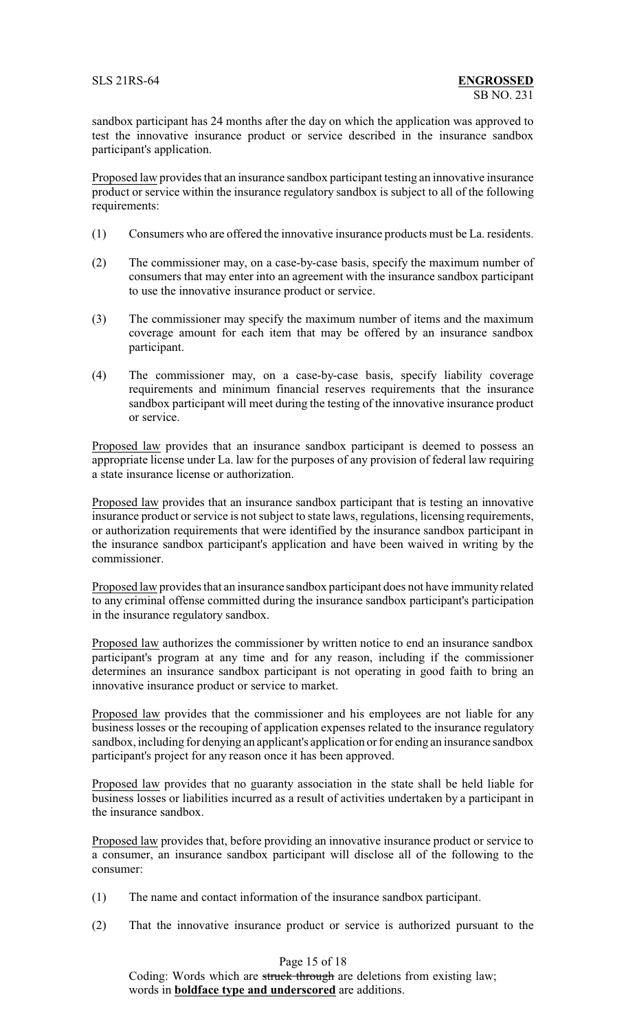sandbox participant has 24 months after the day on which the application was approved to test the innovative insurance product or service described in the insurance sandbox participant's application.

Proposed law provides that an insurance sandbox participant testing an innovative insurance product or service within the insurance regulatory sandbox is subject to all of the following requirements:

- (1) Consumers who are offered the innovative insurance products must be La. residents.
- (2) The commissioner may, on a case-by-case basis, specify the maximum number of consumers that may enter into an agreement with the insurance sandbox participant to use the innovative insurance product or service.
- (3) The commissioner may specify the maximum number of items and the maximum coverage amount for each item that may be offered by an insurance sandbox participant.
- (4) The commissioner may, on a case-by-case basis, specify liability coverage requirements and minimum financial reserves requirements that the insurance sandbox participant will meet during the testing of the innovative insurance product or service.

Proposed law provides that an insurance sandbox participant is deemed to possess an appropriate license under La. law for the purposes of any provision of federal law requiring a state insurance license or authorization.

Proposed law provides that an insurance sandbox participant that is testing an innovative insurance product or service is not subject to state laws, regulations, licensing requirements, or authorization requirements that were identified by the insurance sandbox participant in the insurance sandbox participant's application and have been waived in writing by the commissioner.

Proposed law provides that an insurance sandbox participant does not have immunity related to any criminal offense committed during the insurance sandbox participant's participation in the insurance regulatory sandbox.

Proposed law authorizes the commissioner by written notice to end an insurance sandbox participant's program at any time and for any reason, including if the commissioner determines an insurance sandbox participant is not operating in good faith to bring an innovative insurance product or service to market.

Proposed law provides that the commissioner and his employees are not liable for any business losses or the recouping of application expenses related to the insurance regulatory sandbox, including for denying an applicant's application or for ending an insurance sandbox participant's project for any reason once it has been approved.

Proposed law provides that no guaranty association in the state shall be held liable for business losses or liabilities incurred as a result of activities undertaken by a participant in the insurance sandbox.

Proposed law provides that, before providing an innovative insurance product or service to a consumer, an insurance sandbox participant will disclose all of the following to the consumer:

- (1) The name and contact information of the insurance sandbox participant.
- (2) That the innovative insurance product or service is authorized pursuant to the

Page 15 of 18

Coding: Words which are struck through are deletions from existing law; words in **boldface type and underscored** are additions.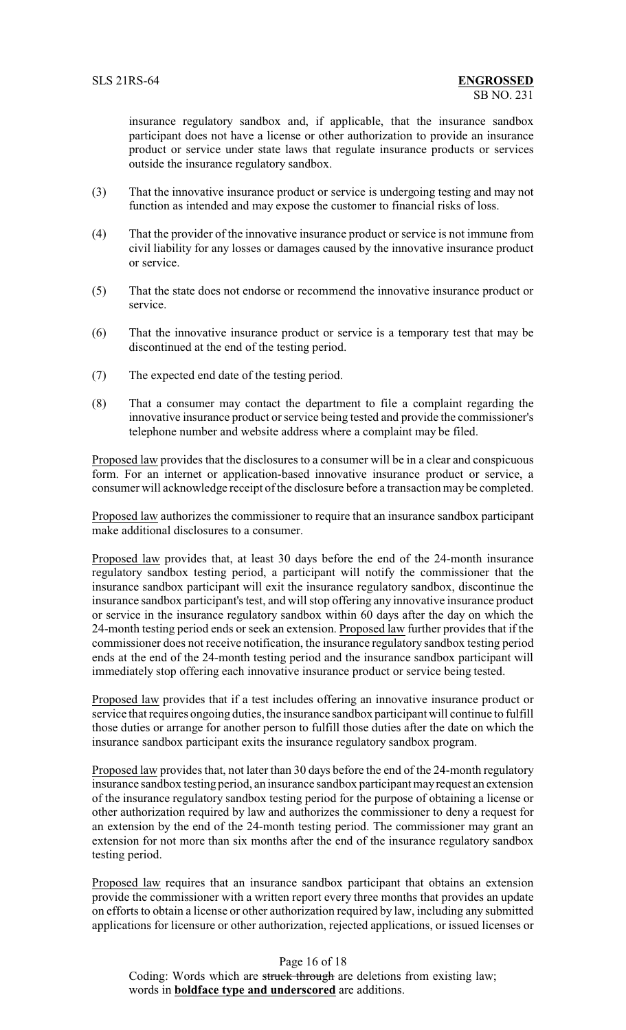insurance regulatory sandbox and, if applicable, that the insurance sandbox participant does not have a license or other authorization to provide an insurance product or service under state laws that regulate insurance products or services outside the insurance regulatory sandbox.

- (3) That the innovative insurance product or service is undergoing testing and may not function as intended and may expose the customer to financial risks of loss.
- (4) That the provider of the innovative insurance product or service is not immune from civil liability for any losses or damages caused by the innovative insurance product or service.
- (5) That the state does not endorse or recommend the innovative insurance product or service.
- (6) That the innovative insurance product or service is a temporary test that may be discontinued at the end of the testing period.
- (7) The expected end date of the testing period.
- (8) That a consumer may contact the department to file a complaint regarding the innovative insurance product or service being tested and provide the commissioner's telephone number and website address where a complaint may be filed.

Proposed law provides that the disclosures to a consumer will be in a clear and conspicuous form. For an internet or application-based innovative insurance product or service, a consumer will acknowledge receipt of the disclosure before a transaction may be completed.

Proposed law authorizes the commissioner to require that an insurance sandbox participant make additional disclosures to a consumer.

Proposed law provides that, at least 30 days before the end of the 24-month insurance regulatory sandbox testing period, a participant will notify the commissioner that the insurance sandbox participant will exit the insurance regulatory sandbox, discontinue the insurance sandbox participant's test, and will stop offering any innovative insurance product or service in the insurance regulatory sandbox within 60 days after the day on which the 24-month testing period ends or seek an extension. Proposed law further provides that if the commissioner does not receive notification, the insurance regulatory sandbox testing period ends at the end of the 24-month testing period and the insurance sandbox participant will immediately stop offering each innovative insurance product or service being tested.

Proposed law provides that if a test includes offering an innovative insurance product or service that requires ongoing duties, the insurance sandbox participant will continue to fulfill those duties or arrange for another person to fulfill those duties after the date on which the insurance sandbox participant exits the insurance regulatory sandbox program.

Proposed law provides that, not later than 30 days before the end of the 24-month regulatory insurance sandbox testing period, an insurance sandbox participant mayrequest an extension of the insurance regulatory sandbox testing period for the purpose of obtaining a license or other authorization required by law and authorizes the commissioner to deny a request for an extension by the end of the 24-month testing period. The commissioner may grant an extension for not more than six months after the end of the insurance regulatory sandbox testing period.

Proposed law requires that an insurance sandbox participant that obtains an extension provide the commissioner with a written report every three months that provides an update on efforts to obtain a license or other authorization required by law, including any submitted applications for licensure or other authorization, rejected applications, or issued licenses or

Page 16 of 18 Coding: Words which are struck through are deletions from existing law; words in **boldface type and underscored** are additions.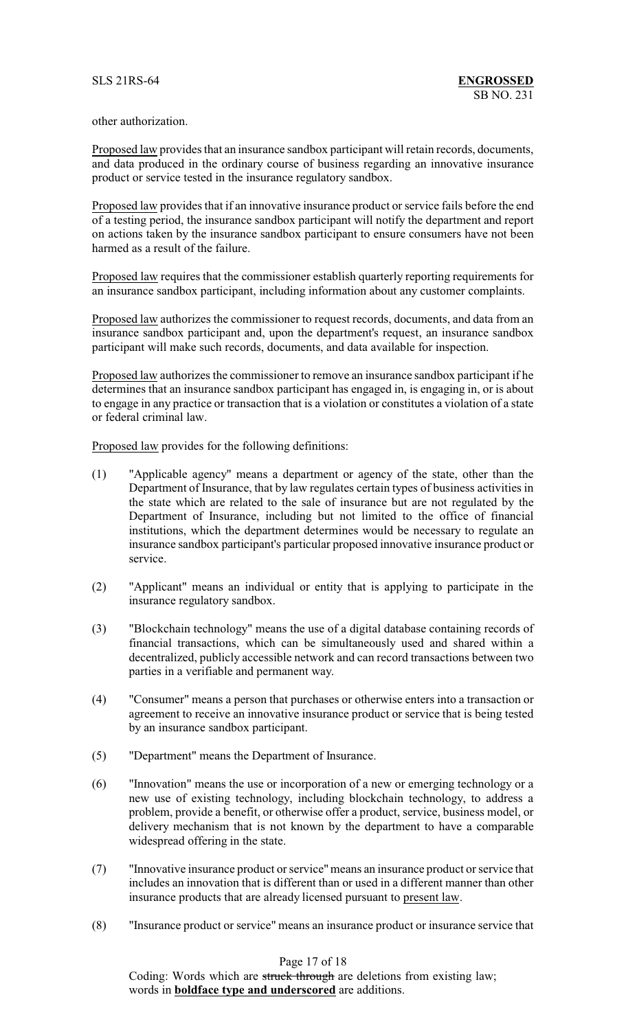other authorization.

Proposed law provides that an insurance sandbox participant will retain records, documents, and data produced in the ordinary course of business regarding an innovative insurance product or service tested in the insurance regulatory sandbox.

Proposed law provides that if an innovative insurance product or service fails before the end of a testing period, the insurance sandbox participant will notify the department and report on actions taken by the insurance sandbox participant to ensure consumers have not been harmed as a result of the failure.

Proposed law requires that the commissioner establish quarterly reporting requirements for an insurance sandbox participant, including information about any customer complaints.

Proposed law authorizes the commissioner to request records, documents, and data from an insurance sandbox participant and, upon the department's request, an insurance sandbox participant will make such records, documents, and data available for inspection.

Proposed law authorizes the commissioner to remove an insurance sandbox participant if he determines that an insurance sandbox participant has engaged in, is engaging in, or is about to engage in any practice or transaction that is a violation or constitutes a violation of a state or federal criminal law.

Proposed law provides for the following definitions:

- (1) "Applicable agency" means a department or agency of the state, other than the Department of Insurance, that by law regulates certain types of business activities in the state which are related to the sale of insurance but are not regulated by the Department of Insurance, including but not limited to the office of financial institutions, which the department determines would be necessary to regulate an insurance sandbox participant's particular proposed innovative insurance product or service.
- (2) "Applicant" means an individual or entity that is applying to participate in the insurance regulatory sandbox.
- (3) "Blockchain technology" means the use of a digital database containing records of financial transactions, which can be simultaneously used and shared within a decentralized, publicly accessible network and can record transactions between two parties in a verifiable and permanent way.
- (4) "Consumer" means a person that purchases or otherwise enters into a transaction or agreement to receive an innovative insurance product or service that is being tested by an insurance sandbox participant.
- (5) "Department" means the Department of Insurance.
- (6) "Innovation" means the use or incorporation of a new or emerging technology or a new use of existing technology, including blockchain technology, to address a problem, provide a benefit, or otherwise offer a product, service, business model, or delivery mechanism that is not known by the department to have a comparable widespread offering in the state.
- (7) "Innovative insurance product or service"means an insurance product or service that includes an innovation that is different than or used in a different manner than other insurance products that are already licensed pursuant to present law.
- (8) "Insurance product or service" means an insurance product or insurance service that

Page 17 of 18

Coding: Words which are struck through are deletions from existing law; words in **boldface type and underscored** are additions.